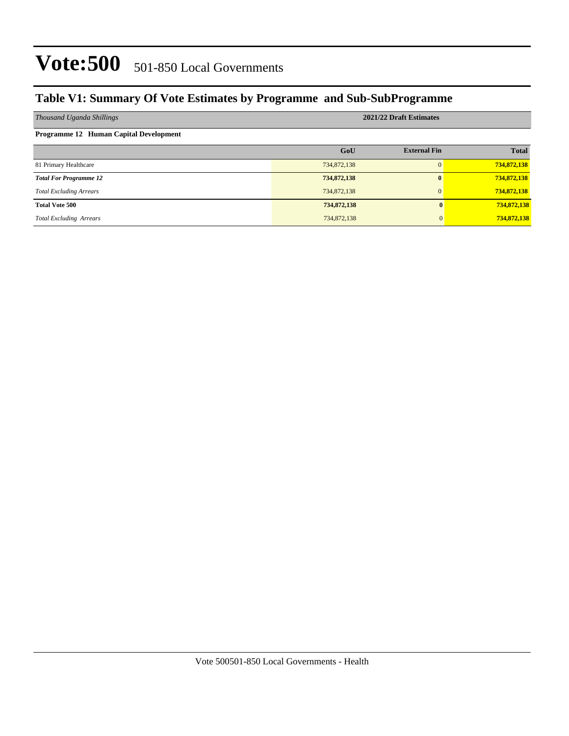#### **Table V1: Summary Of Vote Estimates by Programme and Sub-SubProgramme**

| Thousand Uganda Shillings                     | 2021/22 Draft Estimates |                     |              |  |  |
|-----------------------------------------------|-------------------------|---------------------|--------------|--|--|
| <b>Programme 12 Human Capital Development</b> |                         |                     |              |  |  |
|                                               | GoU                     | <b>External Fin</b> | <b>Total</b> |  |  |
| 81 Primary Healthcare                         | 734,872,138             |                     | 734,872,138  |  |  |
| <b>Total For Programme 12</b>                 | 734,872,138             |                     | 734,872,138  |  |  |
| <b>Total Excluding Arrears</b>                | 734,872,138             |                     | 734,872,138  |  |  |
| <b>Total Vote 500</b>                         | 734,872,138             |                     | 734,872,138  |  |  |
| <b>Total Excluding Arrears</b>                | 734,872,138             | $\Omega$            | 734,872,138  |  |  |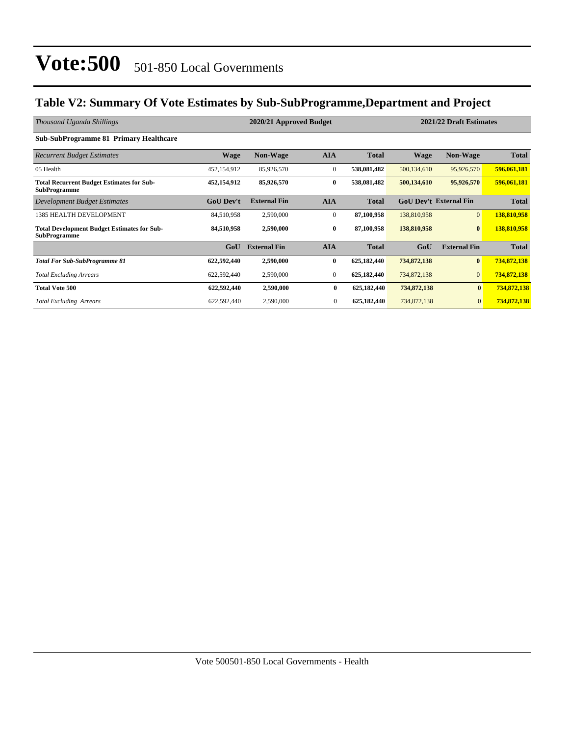#### **Table V2: Summary Of Vote Estimates by Sub-SubProgramme,Department and Project**

| Thousand Uganda Shillings                                                 | 2020/21 Approved Budget |                     |              |              | 2021/22 Draft Estimates       |                     |              |
|---------------------------------------------------------------------------|-------------------------|---------------------|--------------|--------------|-------------------------------|---------------------|--------------|
| <b>Sub-SubProgramme 81 Primary Healthcare</b>                             |                         |                     |              |              |                               |                     |              |
| <b>Recurrent Budget Estimates</b>                                         | <b>Wage</b>             | <b>Non-Wage</b>     | <b>AIA</b>   | <b>Total</b> | Wage                          | <b>Non-Wage</b>     | <b>Total</b> |
| 05 Health                                                                 | 452,154,912             | 85,926,570          | $\mathbf{0}$ | 538,081,482  | 500,134,610                   | 95,926,570          | 596,061,181  |
| <b>Total Recurrent Budget Estimates for Sub-</b><br><b>SubProgramme</b>   | 452,154,912             | 85,926,570          | $\bf{0}$     | 538,081,482  | 500,134,610                   | 95,926,570          | 596,061,181  |
| Development Budget Estimates                                              | <b>GoU Dev't</b>        | <b>External Fin</b> | <b>AIA</b>   | <b>Total</b> | <b>GoU Dev't External Fin</b> |                     | <b>Total</b> |
| <b>1385 HEALTH DEVELOPMENT</b>                                            | 84,510,958              | 2,590,000           | $\mathbf{0}$ | 87,100,958   | 138,810,958                   | $\overline{0}$      | 138,810,958  |
| <b>Total Development Budget Estimates for Sub-</b><br><b>SubProgramme</b> | 84,510,958              | 2,590,000           | $\bf{0}$     | 87,100,958   | 138,810,958                   | $\bf{0}$            | 138,810,958  |
|                                                                           | GoU                     | <b>External Fin</b> | <b>AIA</b>   | <b>Total</b> | GoU                           | <b>External Fin</b> | <b>Total</b> |
| <b>Total For Sub-SubProgramme 81</b>                                      | 622,592,440             | 2,590,000           | $\bf{0}$     | 625,182,440  | 734,872,138                   | $\bf{0}$            | 734,872,138  |
| <b>Total Excluding Arrears</b>                                            | 622,592,440             | 2,590,000           | $\mathbf{0}$ | 625,182,440  | 734,872,138                   | $\overline{0}$      | 734,872,138  |
| <b>Total Vote 500</b>                                                     | 622,592,440             | 2,590,000           | $\bf{0}$     | 625,182,440  | 734,872,138                   | $\bf{0}$            | 734,872,138  |
| <b>Total Excluding Arrears</b>                                            | 622,592,440             | 2,590,000           | $\mathbf{0}$ | 625,182,440  | 734,872,138                   | $\mathbf{0}$        | 734,872,138  |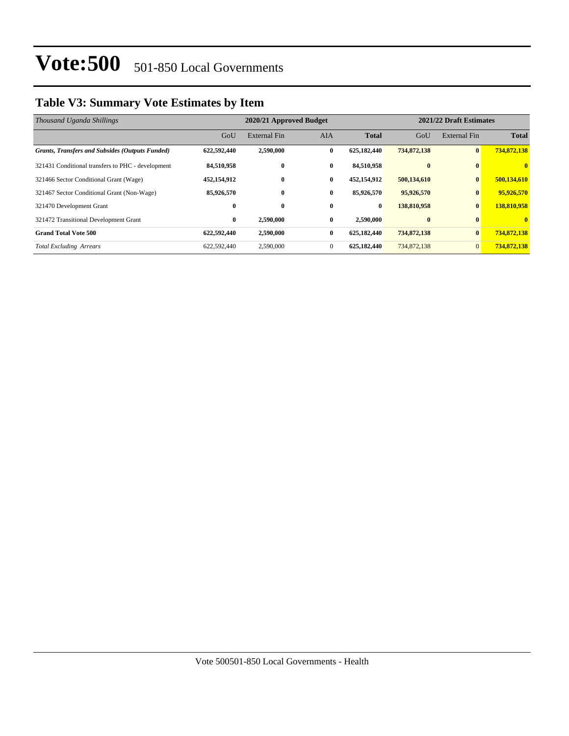### **Table V3: Summary Vote Estimates by Item**

| Thousand Uganda Shillings                              |             | 2020/21 Approved Budget |              | 2021/22 Draft Estimates |              |                |              |
|--------------------------------------------------------|-------------|-------------------------|--------------|-------------------------|--------------|----------------|--------------|
|                                                        | GoU         | External Fin            | <b>AIA</b>   | <b>Total</b>            | GoU          | External Fin   | <b>Total</b> |
| <b>Grants, Transfers and Subsides (Outputs Funded)</b> | 622,592,440 | 2,590,000               | $\mathbf{0}$ | 625,182,440             | 734,872,138  | $\mathbf{0}$   | 734,872,138  |
| 321431 Conditional transfers to PHC - development      | 84,510,958  | $\bf{0}$                | $\bf{0}$     | 84,510,958              | $\mathbf{0}$ | $\mathbf{0}$   | $\mathbf{0}$ |
| 321466 Sector Conditional Grant (Wage)                 | 452,154,912 | $\bf{0}$                | $\bf{0}$     | 452,154,912             | 500,134,610  | $\bf{0}$       | 500,134,610  |
| 321467 Sector Conditional Grant (Non-Wage)             | 85,926,570  | $\bf{0}$                | $\bf{0}$     | 85,926,570              | 95,926,570   | $\bf{0}$       | 95,926,570   |
| 321470 Development Grant                               | $\bf{0}$    | $\bf{0}$                | $\bf{0}$     | $\bf{0}$                | 138,810,958  | $\bf{0}$       | 138,810,958  |
| 321472 Transitional Development Grant                  | $\bf{0}$    | 2,590,000               | $\bf{0}$     | 2,590,000               | $\bf{0}$     | $\mathbf{0}$   | $\mathbf{0}$ |
| <b>Grand Total Vote 500</b>                            | 622,592,440 | 2,590,000               | $\bf{0}$     | 625,182,440             | 734,872,138  | $\bf{0}$       | 734,872,138  |
| <b>Total Excluding Arrears</b>                         | 622,592,440 | 2,590,000               | $\mathbf{0}$ | 625,182,440             | 734,872,138  | $\overline{0}$ | 734,872,138  |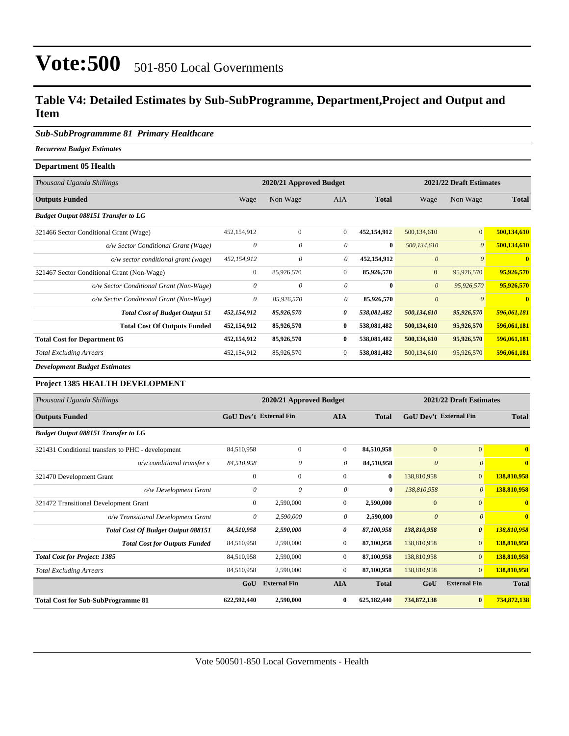#### **Table V4: Detailed Estimates by Sub-SubProgramme, Department,Project and Output and Item**

#### *Sub-SubProgrammme 81 Primary Healthcare*

*Recurrent Budget Estimates* **Department 05 Health**

| Department oc means                        |                         |              |                |                         |                       |                       |                |
|--------------------------------------------|-------------------------|--------------|----------------|-------------------------|-----------------------|-----------------------|----------------|
| Thousand Uganda Shillings                  | 2020/21 Approved Budget |              |                | 2021/22 Draft Estimates |                       |                       |                |
| <b>Outputs Funded</b>                      | Wage                    | Non Wage     | <b>AIA</b>     | <b>Total</b>            | Wage                  | Non Wage              | <b>Total</b>   |
| <b>Budget Output 088151 Transfer to LG</b> |                         |              |                |                         |                       |                       |                |
| 321466 Sector Conditional Grant (Wage)     | 452,154,912             | $\mathbf{0}$ | $\overline{0}$ | 452,154,912             | 500,134,610           | $\vert 0 \vert$       | 500,134,610    |
| o/w Sector Conditional Grant (Wage)        | $\theta$                | $\theta$     | 0              | $\bf{0}$                | 500,134,610           | $\boldsymbol{\theta}$ | 500,134,610    |
| o/w sector conditional grant (wage)        | 452,154,912             | $\theta$     | 0              | 452,154,912             | $\theta$              | $\theta$              | $\mathbf{0}$   |
| 321467 Sector Conditional Grant (Non-Wage) | $\mathbf{0}$            | 85,926,570   | $\overline{0}$ | 85,926,570              | $\mathbf{0}$          | 95,926,570            | 95,926,570     |
| o/w Sector Conditional Grant (Non-Wage)    | 0                       | $\theta$     | 0              | $\bf{0}$                | $\theta$              | 95,926,570            | 95,926,570     |
| o/w Sector Conditional Grant (Non-Wage)    | 0                       | 85,926,570   | 0              | 85,926,570              | $\boldsymbol{\theta}$ | $\boldsymbol{\theta}$ | $\overline{0}$ |
| <b>Total Cost of Budget Output 51</b>      | 452,154,912             | 85,926,570   | 0              | 538,081,482             | 500,134,610           | 95,926,570            | 596,061,181    |
| <b>Total Cost Of Outputs Funded</b>        | 452,154,912             | 85,926,570   | $\bf{0}$       | 538,081,482             | 500,134,610           | 95,926,570            | 596,061,181    |
| <b>Total Cost for Department 05</b>        | 452,154,912             | 85,926,570   | $\bf{0}$       | 538,081,482             | 500,134,610           | 95,926,570            | 596,061,181    |
| <b>Total Excluding Arrears</b>             | 452,154,912             | 85,926,570   | $\mathbf{0}$   | 538,081,482             | 500,134,610           | 95,926,570            | 596,061,181    |
| <b>Development Budget Estimates</b>        |                         |              |                |                         |                       |                       |                |

#### **Project 1385 HEALTH DEVELOPMENT**

| Thousand Uganda Shillings                         | 2020/21 Approved Budget       |                     |                |              | 2021/22 Draft Estimates       |                       |                         |
|---------------------------------------------------|-------------------------------|---------------------|----------------|--------------|-------------------------------|-----------------------|-------------------------|
| <b>Outputs Funded</b>                             | <b>GoU Dev't External Fin</b> |                     | <b>AIA</b>     | <b>Total</b> | <b>GoU Dev't External Fin</b> |                       | <b>Total</b>            |
| <b>Budget Output 088151 Transfer to LG</b>        |                               |                     |                |              |                               |                       |                         |
| 321431 Conditional transfers to PHC - development | 84,510,958                    | $\mathbf{0}$        | $\overline{0}$ | 84,510,958   | $\mathbf{0}$                  | $\mathbf{0}$          | $\mathbf{0}$            |
| o/w conditional transfer s                        | 84,510,958                    | 0                   | $\theta$       | 84,510,958   | $\theta$                      | $\theta$              | $\overline{\mathbf{0}}$ |
| 321470 Development Grant                          | $\mathbf{0}$                  | $\overline{0}$      | $\mathbf{0}$   | $\bf{0}$     | 138,810,958                   | $\mathbf{0}$          | 138,810,958             |
| o/w Development Grant                             | 0                             | $\theta$            | $\theta$       | $\bf{0}$     | 138,810,958                   | $\theta$              | 138,810,958             |
| 321472 Transitional Development Grant             | $\mathbf{0}$                  | 2,590,000           | $\Omega$       | 2,590,000    | $\mathbf{0}$                  | $\mathbf{0}$          | $\mathbf{0}$            |
| o/w Transitional Development Grant                | 0                             | 2,590,000           | 0              | 2,590,000    | $\boldsymbol{\theta}$         | $\theta$              | $\overline{\mathbf{0}}$ |
| <b>Total Cost Of Budget Output 088151</b>         | 84,510,958                    | 2,590,000           | 0              | 87,100,958   | 138,810,958                   | $\boldsymbol{\theta}$ | 138,810,958             |
| <b>Total Cost for Outputs Funded</b>              | 84,510,958                    | 2,590,000           | $\overline{0}$ | 87,100,958   | 138,810,958                   | $\overline{0}$        | 138,810,958             |
| <b>Total Cost for Project: 1385</b>               | 84,510,958                    | 2,590,000           | $\overline{0}$ | 87,100,958   | 138,810,958                   | $\mathbf{0}$          | 138,810,958             |
| <b>Total Excluding Arrears</b>                    | 84,510,958                    | 2,590,000           | $\overline{0}$ | 87,100,958   | 138,810,958                   | $\overline{0}$        | 138,810,958             |
|                                                   | GoU                           | <b>External Fin</b> | <b>AIA</b>     | <b>Total</b> | GoU                           | <b>External Fin</b>   | <b>Total</b>            |
| <b>Total Cost for Sub-SubProgramme 81</b>         | 622,592,440                   | 2,590,000           | 0              | 625,182,440  | 734,872,138                   | $\bf{0}$              | 734,872,138             |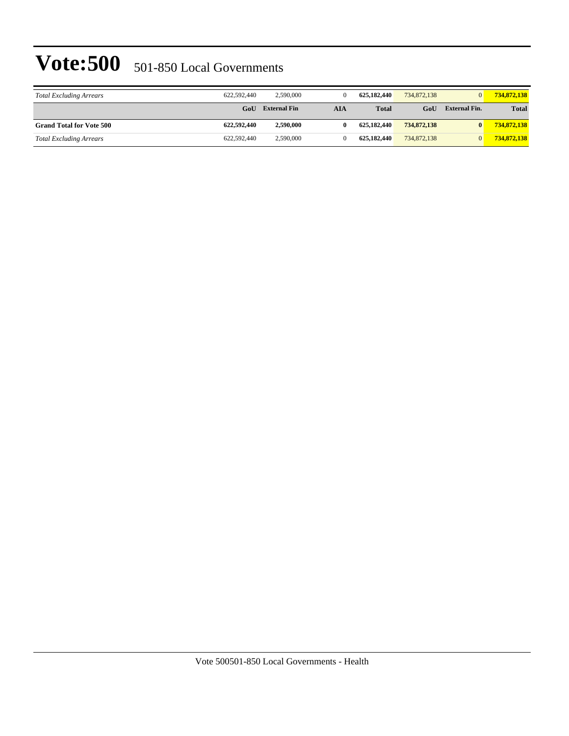| <b>Total Excluding Arrears</b>  | 622,592,440 | 2,590,000           |     | 625,182,440  | 734,872,138 | $\overline{0}$       | 734,872,138  |
|---------------------------------|-------------|---------------------|-----|--------------|-------------|----------------------|--------------|
|                                 | GoU         | <b>External Fin</b> | AIA | <b>Total</b> | GoU         | <b>External Fin.</b> | <b>Total</b> |
| <b>Grand Total for Vote 500</b> | 622,592,440 | 2,590,000           |     | 625,182,440  | 734,872,138 | $\bf{0}$             | 734,872,138  |
| <b>Total Excluding Arrears</b>  | 622,592,440 | 2,590,000           |     | 625,182,440  | 734,872,138 | $\Omega$             | 734,872,138  |